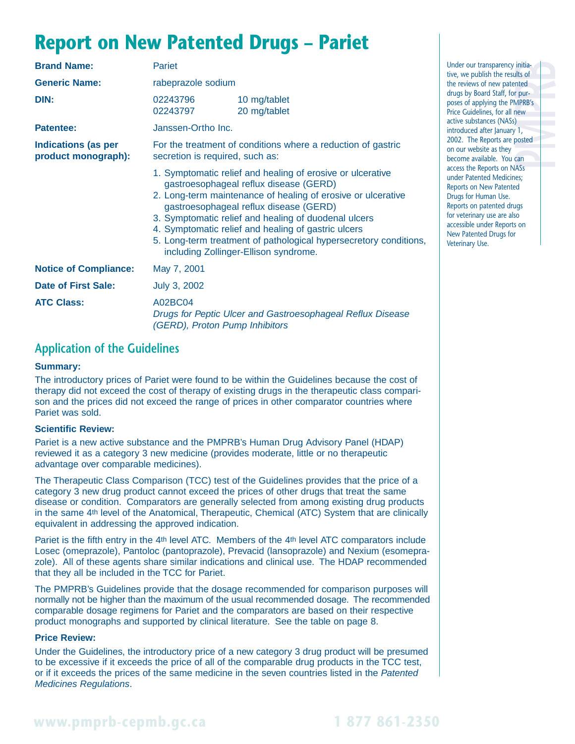## **Report on New Patented Drugs – Pariet**

| <b>Brand Name:</b>                                | Pariet                                                                                          |                                                                                                                                                                                                                                                                                                                                                                                                                                             |  |  |
|---------------------------------------------------|-------------------------------------------------------------------------------------------------|---------------------------------------------------------------------------------------------------------------------------------------------------------------------------------------------------------------------------------------------------------------------------------------------------------------------------------------------------------------------------------------------------------------------------------------------|--|--|
| <b>Generic Name:</b>                              | rabeprazole sodium                                                                              |                                                                                                                                                                                                                                                                                                                                                                                                                                             |  |  |
| DIN:                                              | 02243796<br>02243797                                                                            | 10 mg/tablet<br>20 mg/tablet                                                                                                                                                                                                                                                                                                                                                                                                                |  |  |
| <b>Patentee:</b>                                  | Janssen-Ortho Inc.                                                                              |                                                                                                                                                                                                                                                                                                                                                                                                                                             |  |  |
| <b>Indications (as per</b><br>product monograph): | For the treatment of conditions where a reduction of gastric<br>secretion is required, such as: |                                                                                                                                                                                                                                                                                                                                                                                                                                             |  |  |
|                                                   |                                                                                                 | 1. Symptomatic relief and healing of erosive or ulcerative<br>gastroesophageal reflux disease (GERD)<br>2. Long-term maintenance of healing of erosive or ulcerative<br>gastroesophageal reflux disease (GERD)<br>3. Symptomatic relief and healing of duodenal ulcers<br>4. Symptomatic relief and healing of gastric ulcers<br>5. Long-term treatment of pathological hypersecretory conditions,<br>including Zollinger-Ellison syndrome. |  |  |
| <b>Notice of Compliance:</b>                      | May 7, 2001                                                                                     |                                                                                                                                                                                                                                                                                                                                                                                                                                             |  |  |
| <b>Date of First Sale:</b>                        | July 3, 2002                                                                                    |                                                                                                                                                                                                                                                                                                                                                                                                                                             |  |  |
| <b>ATC Class:</b>                                 | A02BC04                                                                                         | Drugs for Peptic Ulcer and Gastroesophageal Reflux Disease<br>(GERD), Proton Pump Inhibitors                                                                                                                                                                                                                                                                                                                                                |  |  |

### **Application of the Guidelines**

#### **Summary:**

The introductory prices of Pariet were found to be within the Guidelines because the cost of therapy did not exceed the cost of therapy of existing drugs in the therapeutic class comparison and the prices did not exceed the range of prices in other comparator countries where Pariet was sold.

#### **Scientific Review:**

Pariet is a new active substance and the PMPRB's Human Drug Advisory Panel (HDAP) reviewed it as a category 3 new medicine (provides moderate, little or no therapeutic advantage over comparable medicines).

The Therapeutic Class Comparison (TCC) test of the Guidelines provides that the price of a category 3 new drug product cannot exceed the prices of other drugs that treat the same disease or condition. Comparators are generally selected from among existing drug products in the same 4th level of the Anatomical, Therapeutic, Chemical (ATC) System that are clinically equivalent in addressing the approved indication.

Pariet is the fifth entry in the 4th level ATC. Members of the 4th level ATC comparators include Losec (omeprazole), Pantoloc (pantoprazole), Prevacid (lansoprazole) and Nexium (esomeprazole). All of these agents share similar indications and clinical use. The HDAP recommended that they all be included in the TCC for Pariet.

The PMPRB's Guidelines provide that the dosage recommended for comparison purposes will normally not be higher than the maximum of the usual recommended dosage. The recommended comparable dosage regimens for Pariet and the comparators are based on their respective product monographs and supported by clinical literature. See the table on page 8.

#### **Price Review:**

Under the Guidelines, the introductory price of a new category 3 drug product will be presumed to be excessive if it exceeds the price of all of the comparable drug products in the TCC test, or if it exceeds the prices of the same medicine in the seven countries listed in the Patented Medicines Regulations.

initia-<br>
lits of<br>
r pur-<br>
MPRB<sup>'</sup>s<br>
ew<br>
)<br>
)<br>
1,<br>
oosted<br>
can Under our transparency initiative, we publish the results of the reviews of new patented drugs by Board Staff, for purposes of applying the PMPRB's Price Guidelines, for all new active substances (NASs) introduced after January 1, 2002. The Reports are posted on our website as they become available. You can access the Reports on NASs under Patented Medicines; Reports on New Patented Drugs for Human Use. Reports on patented drugs for veterinary use are also [accessible under Reports on](http://pmprb.com/english/View.asp?x=117&mp=68) New Patented Drugs for Veterinary Use.